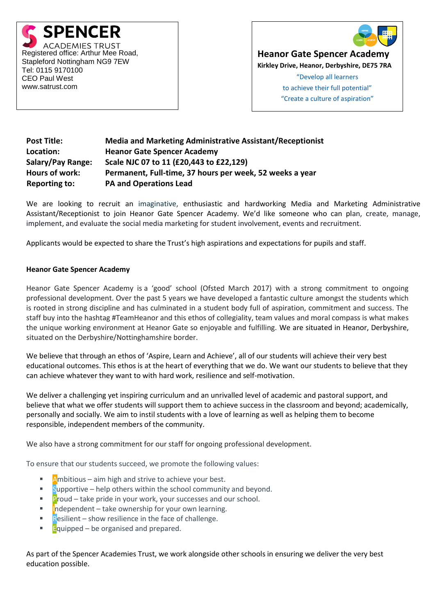



**Heanor Gate Spencer Academy**

**Kirkley Drive, Heanor, Derbyshire, DE75 7RA**

"Develop all learners to achieve their full potential" "Create a culture of aspiration"

# **Post Title: Media and Marketing Administrative Assistant/Receptionist Location: Heanor Gate Spencer Academy Salary/Pay Range: Scale NJC 07 to 11 (£20,443 to £22,129) Hours of work: Permanent, Full-time, 37 hours per week, 52 weeks a year Reporting to: PA and Operations Lead**

We are looking to recruit an imaginative, enthusiastic and hardworking Media and Marketing Administrative Assistant/Receptionist to join Heanor Gate Spencer Academy. We'd like someone who can plan, create, manage, implement, and evaluate the social media marketing for student involvement, events and recruitment.

Applicants would be expected to share the Trust's high aspirations and expectations for pupils and staff.

### **Heanor Gate Spencer Academy**

Heanor Gate Spencer Academy is a 'good' school (Ofsted March 2017) with a strong commitment to ongoing professional development. Over the past 5 years we have developed a fantastic culture amongst the students which is rooted in strong discipline and has culminated in a student body full of aspiration, commitment and success. The staff buy into the hashtag #TeamHeanor and this ethos of collegiality, team values and moral compass is what makes the unique working environment at Heanor Gate so enjoyable and fulfilling. We are situated in Heanor, Derbyshire, situated on the Derbyshire/Nottinghamshire border.

We believe that through an ethos of 'Aspire, Learn and Achieve', all of our students will achieve their very best educational outcomes. This ethos is at the heart of everything that we do. We want our students to believe that they can achieve whatever they want to with hard work, resilience and self-motivation.

We deliver a challenging yet inspiring curriculum and an unrivalled level of academic and pastoral support, and believe that what we offer students will support them to achieve success in the classroom and beyond; academically, personally and socially. We aim to instil students with a love of learning as well as helping them to become responsible, independent members of the community.

We also have a strong commitment for our staff for ongoing professional development.

To ensure that our students succeed, we promote the following values:

- **EXECUTE:** Ambitious aim high and strive to achieve your best.
- **Example 1** Supportive help others within the school community and beyond.
- $\blacksquare$  Proud take pride in your work, your successes and our school.
- **Independent** take ownership for your own learning.
- **EXECTE 1** Resilient show resilience in the face of challenge.
- $\blacksquare$  Equipped be organised and prepared.

As part of the Spencer Academies Trust, we work alongside other schools in ensuring we deliver the very best education possible.